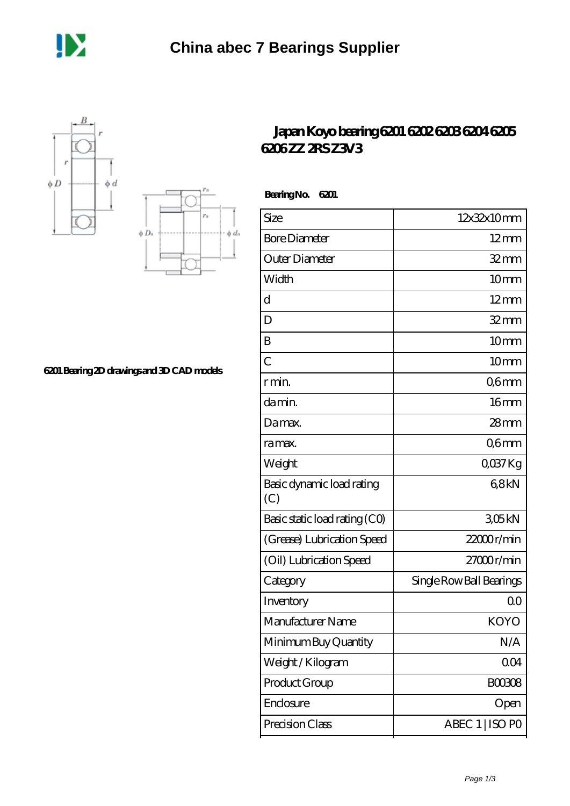





## **[6201 Bearing 2D drawings and 3D CAD models](https://m.dannysguitarshop.tv/pic-807827.html)**

## **[Japan Koyo bearing 6201 6202 6203 6204 6205](https://m.dannysguitarshop.tv/6206lu-bearing/koyo-6201/) [6206 ZZ 2RS Z3V3](https://m.dannysguitarshop.tv/6206lu-bearing/koyo-6201/)**

| <b>Bearing No.</b><br>6201       |                          |
|----------------------------------|--------------------------|
| Size                             | 12x32x10mm               |
| <b>Bore Diameter</b>             | $12 \text{mm}$           |
| Outer Diameter                   | $32$ mm                  |
| Width                            | 10mm                     |
| $\overline{\rm d}$               | $12 \text{mm}$           |
| D                                | $32 \text{mm}$           |
| B                                | 10 <sub>mm</sub>         |
| $\overline{C}$                   | 10 <sub>mm</sub>         |
| r min.                           | Q6mm                     |
| da min.                          | 16 <sub>mm</sub>         |
| Damax.                           | $28$ mm                  |
| ra max.                          | Q6mm                     |
| Weight                           | $Q$ <sup>O</sup> $37$ Kg |
| Basic dynamic load rating<br>(C) | 68kN                     |
| Basic static load rating (CO)    | 305kN                    |
| (Grease) Lubrication Speed       | 22000r/min               |
| (Oil) Lubrication Speed          | 27000r/min               |
| Category                         | Single Row Ball Bearings |
| Inventory                        | 0 <sup>0</sup>           |
| Manufacturer Name                | KOYO                     |
| Minimum Buy Quantity             | N/A                      |
| Weight/Kilogram                  | 004                      |
| Product Group                    | <b>BOO3O8</b>            |
| Enclosure                        | Open                     |
| Precision Class                  | ABEC 1   ISO PO          |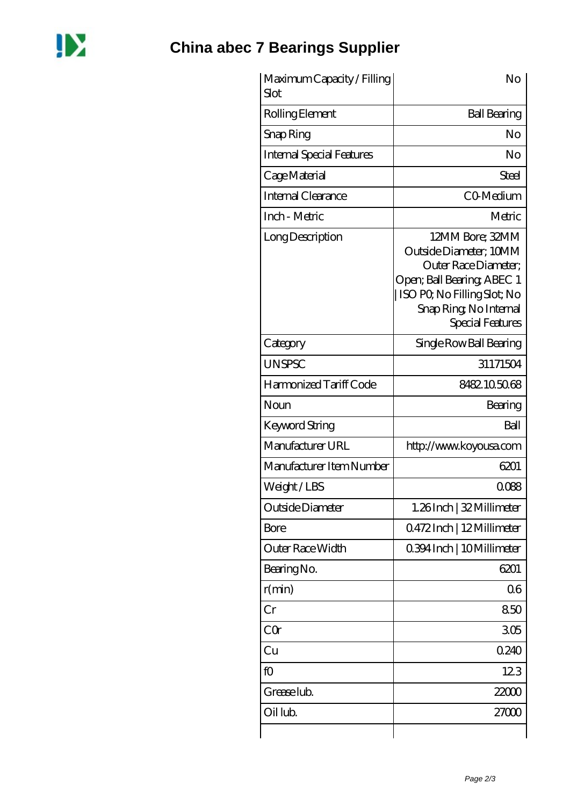

| Maximum Capacity / Filling<br>Slot | No                                                                                                                                                                            |
|------------------------------------|-------------------------------------------------------------------------------------------------------------------------------------------------------------------------------|
| Rolling Element                    | <b>Ball Bearing</b>                                                                                                                                                           |
| Snap Ring                          | No                                                                                                                                                                            |
| <b>Internal Special Features</b>   | No                                                                                                                                                                            |
| Cage Material                      | Steel                                                                                                                                                                         |
| Internal Clearance                 | CO-Medium                                                                                                                                                                     |
| Inch - Metric                      | Metric                                                                                                                                                                        |
| Long Description                   | 12MM Bore; 32MM<br>Outside Diameter; 10MM<br>Outer Race Diameter:<br>Open; Ball Bearing; ABEC 1<br>  ISO PQ No Filling Slot; No<br>Snap Ring, No Internal<br>Special Features |
| Category                           | Single Row Ball Bearing                                                                                                                                                       |
| <b>UNSPSC</b>                      | 31171504                                                                                                                                                                      |
| Harmonized Tariff Code             | 8482105068                                                                                                                                                                    |
| Noun                               | Bearing                                                                                                                                                                       |
| <b>Keyword String</b>              | Ball                                                                                                                                                                          |
| Manufacturer URL                   | http://www.koyousa.com                                                                                                                                                        |
| Manufacturer Item Number           | 6201                                                                                                                                                                          |
| Weight/LBS                         | 0088                                                                                                                                                                          |
| Outside Diameter                   | 1.26Inch   32 Millimeter                                                                                                                                                      |
| <b>Bore</b>                        | 0472Inch   12Millimeter                                                                                                                                                       |
| Outer Race Width                   | 0.394 Inch   10 Millimeter                                                                                                                                                    |
| Bearing No.                        | 6201                                                                                                                                                                          |
| r(min)                             | 06                                                                                                                                                                            |
| Cr                                 | 850                                                                                                                                                                           |
| CQr                                | 305                                                                                                                                                                           |
| Cu                                 | 0.240                                                                                                                                                                         |
| fO                                 | 123                                                                                                                                                                           |
| Grease lub.                        | 22000                                                                                                                                                                         |
| Oil lub.                           | 27000                                                                                                                                                                         |
|                                    |                                                                                                                                                                               |